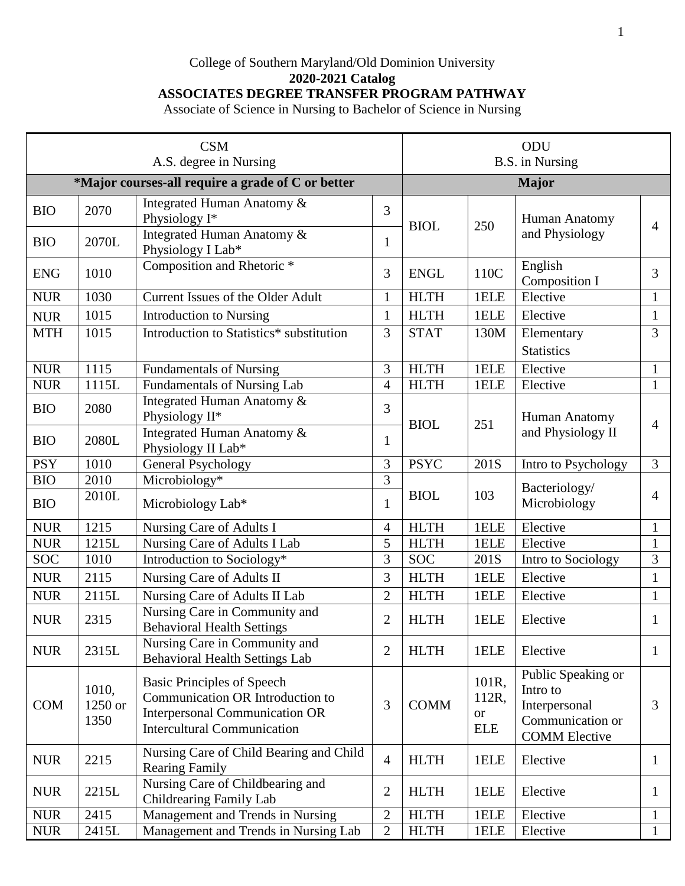## College of Southern Maryland/Old Dominion University **2020-2021 Catalog ASSOCIATES DEGREE TRANSFER PROGRAM PATHWAY**

Associate of Science in Nursing to Bachelor of Science in Nursing

| <b>CSM</b><br>A.S. degree in Nursing              |                          |                                                                                                                                                      |                                | ODU<br>B.S. in Nursing |                                           |                                                                                             |                |  |
|---------------------------------------------------|--------------------------|------------------------------------------------------------------------------------------------------------------------------------------------------|--------------------------------|------------------------|-------------------------------------------|---------------------------------------------------------------------------------------------|----------------|--|
| *Major courses-all require a grade of C or better |                          |                                                                                                                                                      |                                |                        | <b>Major</b>                              |                                                                                             |                |  |
| <b>BIO</b>                                        | 2070                     | Integrated Human Anatomy &<br>Physiology I*                                                                                                          | 3                              | <b>BIOL</b>            | 250                                       | Human Anatomy                                                                               | $\overline{4}$ |  |
| <b>BIO</b>                                        | 2070L                    | Integrated Human Anatomy &<br>Physiology I Lab*                                                                                                      | $\mathbf{1}$                   |                        |                                           | and Physiology                                                                              |                |  |
| <b>ENG</b>                                        | 1010                     | Composition and Rhetoric *                                                                                                                           | 3                              | <b>ENGL</b>            | 110C                                      | English<br><b>Composition I</b>                                                             | 3              |  |
| <b>NUR</b>                                        | 1030                     | Current Issues of the Older Adult                                                                                                                    | $\mathbf{1}$                   | <b>HLTH</b>            | 1ELE                                      | Elective                                                                                    | $\mathbf{1}$   |  |
| <b>NUR</b>                                        | 1015                     | Introduction to Nursing                                                                                                                              | $\mathbf{1}$                   | <b>HLTH</b>            | 1ELE                                      | Elective                                                                                    | $\mathbf{1}$   |  |
| <b>MTH</b>                                        | 1015                     | Introduction to Statistics* substitution                                                                                                             | 3                              | <b>STAT</b>            | 130M                                      | Elementary<br><b>Statistics</b>                                                             | 3              |  |
| <b>NUR</b>                                        | 1115                     | <b>Fundamentals of Nursing</b>                                                                                                                       | 3                              | <b>HLTH</b>            | 1ELE                                      | Elective                                                                                    | $\mathbf{1}$   |  |
| <b>NUR</b>                                        | 1115L                    | Fundamentals of Nursing Lab                                                                                                                          | 4                              | <b>HLTH</b>            | 1ELE                                      | Elective                                                                                    | $\mathbf{1}$   |  |
| <b>BIO</b>                                        | 2080                     | Integrated Human Anatomy &<br>Physiology II*                                                                                                         | 3                              | <b>BIOL</b>            | 251                                       | Human Anatomy<br>and Physiology II                                                          | $\overline{4}$ |  |
| <b>BIO</b>                                        | 2080L                    | Integrated Human Anatomy &<br>Physiology II Lab*                                                                                                     | $\mathbf{1}$                   |                        |                                           |                                                                                             |                |  |
| <b>PSY</b>                                        | 1010                     | <b>General Psychology</b>                                                                                                                            | 3                              | <b>PSYC</b>            | 201S                                      | Intro to Psychology                                                                         | $\overline{3}$ |  |
| <b>BIO</b><br><b>BIO</b>                          | 2010<br>2010L            | Microbiology*<br>Microbiology Lab*                                                                                                                   | $\overline{3}$<br>$\mathbf{1}$ | <b>BIOL</b>            | 103                                       | Bacteriology/<br>Microbiology                                                               | $\overline{4}$ |  |
| <b>NUR</b>                                        | 1215                     | Nursing Care of Adults I                                                                                                                             | $\overline{4}$                 | <b>HLTH</b>            | 1ELE                                      | Elective                                                                                    | $\mathbf{1}$   |  |
| <b>NUR</b>                                        | 1215L                    | Nursing Care of Adults I Lab                                                                                                                         | 5                              | <b>HLTH</b>            | 1ELE                                      | Elective                                                                                    | $\mathbf{1}$   |  |
| <b>SOC</b>                                        | 1010                     | Introduction to Sociology*                                                                                                                           | 3                              | <b>SOC</b>             | 201S                                      | Intro to Sociology                                                                          | 3              |  |
| <b>NUR</b>                                        | 2115                     | Nursing Care of Adults II                                                                                                                            | 3                              | <b>HLTH</b>            | 1ELE                                      | Elective                                                                                    | $\mathbf{1}$   |  |
| <b>NUR</b>                                        | 2115L                    | Nursing Care of Adults II Lab                                                                                                                        | $\overline{2}$                 | <b>HLTH</b>            | 1ELE                                      | Elective                                                                                    | $\mathbf{1}$   |  |
| <b>NUR</b>                                        | 2315                     | Nursing Care in Community and<br><b>Behavioral Health Settings</b>                                                                                   | $\overline{2}$                 | <b>HLTH</b>            | 1ELE                                      | Elective                                                                                    | $\mathbf{1}$   |  |
| <b>NUR</b>                                        | 2315L                    | Nursing Care in Community and<br><b>Behavioral Health Settings Lab</b>                                                                               | $\overline{2}$                 | <b>HLTH</b>            | 1ELE                                      | Elective                                                                                    | $\mathbf{1}$   |  |
| <b>COM</b>                                        | 1010,<br>1250 or<br>1350 | <b>Basic Principles of Speech</b><br>Communication OR Introduction to<br><b>Interpersonal Communication OR</b><br><b>Intercultural Communication</b> | 3                              | <b>COMM</b>            | 101R,<br>112R,<br><b>or</b><br><b>ELE</b> | Public Speaking or<br>Intro to<br>Interpersonal<br>Communication or<br><b>COMM</b> Elective | 3              |  |
| <b>NUR</b>                                        | 2215                     | Nursing Care of Child Bearing and Child<br><b>Rearing Family</b>                                                                                     | $\overline{4}$                 | <b>HLTH</b>            | 1ELE                                      | Elective                                                                                    | $\mathbf{1}$   |  |
| <b>NUR</b>                                        | 2215L                    | Nursing Care of Childbearing and<br>Childrearing Family Lab                                                                                          | $\overline{2}$                 | <b>HLTH</b>            | 1ELE                                      | Elective                                                                                    | $\mathbf{1}$   |  |
| <b>NUR</b>                                        | 2415                     | Management and Trends in Nursing                                                                                                                     | $\mathbf{2}$                   | <b>HLTH</b>            | 1ELE                                      | Elective                                                                                    | $\mathbf{1}$   |  |
| <b>NUR</b>                                        | 2415L                    | Management and Trends in Nursing Lab                                                                                                                 | $\overline{2}$                 | <b>HLTH</b>            | 1ELE                                      | Elective                                                                                    | $\mathbf{1}$   |  |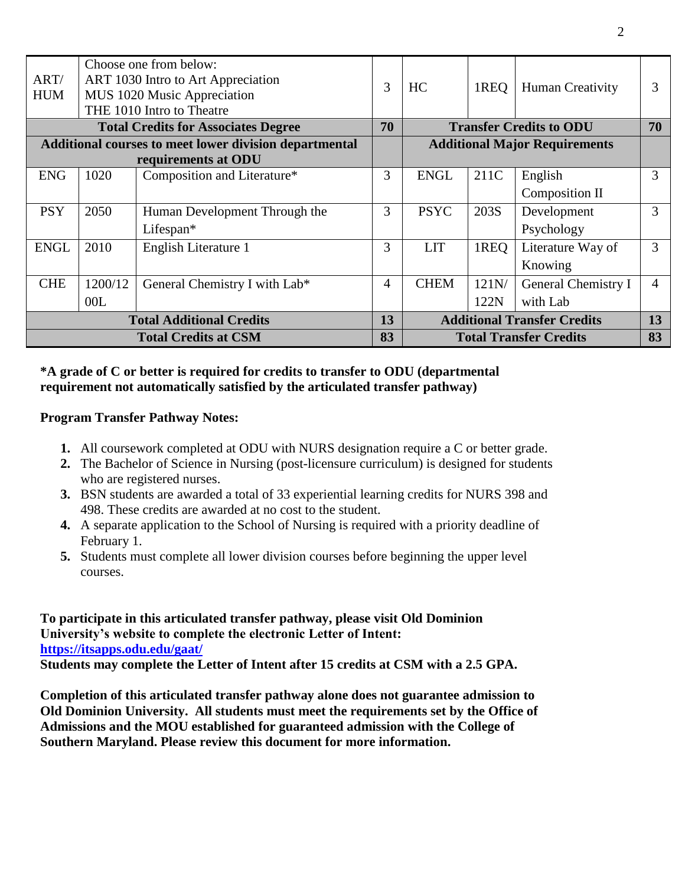| ART/<br><b>HUM</b>                                     | Choose one from below:<br>ART 1030 Intro to Art Appreciation<br>MUS 1020 Music Appreciation<br>THE 1010 Intro to Theatre |                               | 3  | HC                                   | 1REQ  | Human Creativity    | 3              |
|--------------------------------------------------------|--------------------------------------------------------------------------------------------------------------------------|-------------------------------|----|--------------------------------------|-------|---------------------|----------------|
| <b>Total Credits for Associates Degree</b>             |                                                                                                                          |                               |    | <b>Transfer Credits to ODU</b>       |       |                     | 70             |
| Additional courses to meet lower division departmental |                                                                                                                          |                               |    | <b>Additional Major Requirements</b> |       |                     |                |
| requirements at ODU                                    |                                                                                                                          |                               |    |                                      |       |                     |                |
| <b>ENG</b>                                             | 1020                                                                                                                     | Composition and Literature*   | 3  | <b>ENGL</b>                          | 211C  | English             | 3              |
|                                                        |                                                                                                                          |                               |    |                                      |       | Composition II      |                |
| <b>PSY</b>                                             | 2050                                                                                                                     | Human Development Through the | 3  | <b>PSYC</b>                          | 203S  | Development         | 3              |
|                                                        |                                                                                                                          | Lifespan $*$                  |    |                                      |       | Psychology          |                |
| <b>ENGL</b>                                            | 2010                                                                                                                     | English Literature 1          | 3  | <b>LIT</b>                           | 1REQ  | Literature Way of   | 3              |
|                                                        |                                                                                                                          |                               |    |                                      |       | Knowing             |                |
| <b>CHE</b>                                             | 1200/12                                                                                                                  | General Chemistry I with Lab* | 4  | <b>CHEM</b>                          | 121N/ | General Chemistry I | $\overline{4}$ |
|                                                        | 00L                                                                                                                      |                               |    |                                      | 122N  | with Lab            |                |
| <b>Total Additional Credits</b>                        |                                                                                                                          |                               | 13 | <b>Additional Transfer Credits</b>   |       | 13                  |                |
| <b>Total Credits at CSM</b>                            |                                                                                                                          |                               | 83 | <b>Total Transfer Credits</b>        |       | 83                  |                |

## **\*A grade of C or better is required for credits to transfer to ODU (departmental requirement not automatically satisfied by the articulated transfer pathway)**

## **Program Transfer Pathway Notes:**

- **1.** All coursework completed at ODU with NURS designation require a C or better grade.
- **2.** The Bachelor of Science in Nursing (post-licensure curriculum) is designed for students who are registered nurses.
- **3.** BSN students are awarded a total of 33 experiential learning credits for NURS 398 and 498. These credits are awarded at no cost to the student.
- **4.** A separate application to the School of Nursing is required with a priority deadline of February 1.
- **5.** Students must complete all lower division courses before beginning the upper level courses.

**To participate in this articulated transfer pathway, please visit Old Dominion University's website to complete the electronic Letter of Intent: https://itsapps.odu.edu/gaat/ Students may complete the Letter of Intent after 15 credits at CSM with a 2.5 GPA.**

**Completion of this articulated transfer pathway alone does not guarantee admission to Old Dominion University. All students must meet the requirements set by the Office of Admissions and the MOU established for guaranteed admission with the College of Southern Maryland. Please review this document for more information.**